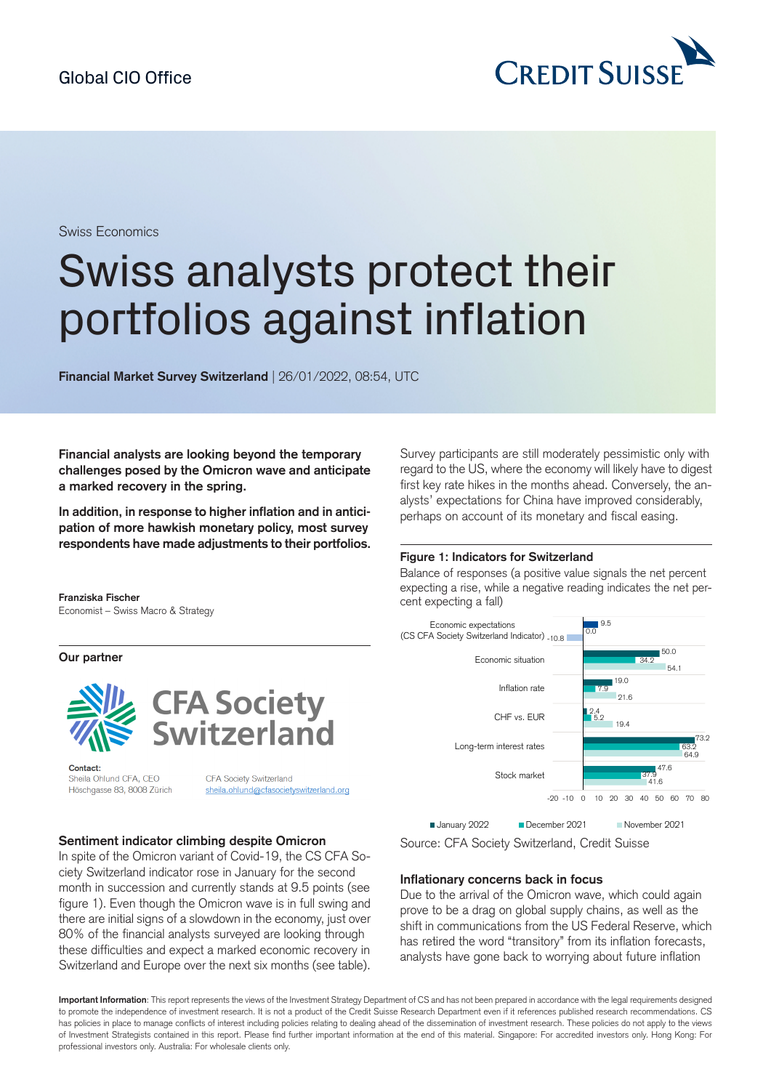

Swiss Economics

# Swiss analysts protect their portfolios against inflation

**Financial Market Survey Switzerland** | 26/01/2022, 08:54, UTC

**Financial analysts are looking beyond the temporary challenges posed by the Omicron wave and anticipate a marked recovery in the spring.**

**In addition, in response to higher inflation and in anticipation of more hawkish monetary policy, most survey respondents have madeadjustments to their portfolios.**

**Franziska Fischer** Economist – Swiss Macro & Strategy

**Our partner**



Contact: Sheila Ohlund CFA, CEO Höschgasse 83, 8008 Zürich

CFA Society Switzerland sheila.ohlund@cfasocietyswitzerland.org

#### **Sentiment indicator climbing despite Omicron**

In spite of the Omicron variant of Covid-19, the CS CFA Society Switzerland indicator rose in January for the second month in succession and currently stands at 9.5 points (see figure 1). Even though the Omicron wave is in full swing and there are initial signs of a slowdown in the economy, just over 80% of the financial analysts surveyed are looking through these difficulties and expect a marked economic recovery in Switzerland and Europe over the next six months (see table).

Survey participants are still moderately pessimistic only with regard to the US, where the economy will likely have to digest first key rate hikes in the months ahead. Conversely, the analysts' expectations for China have improved considerably, perhaps on account of its monetary and fiscal easing.

#### **Figure 1: Indicators for Switzerland**

Balance of responses (a positive value signals the net percent expecting a rise, while a negative reading indicates the net percent expecting a fall)



Source: CFA Society Switzerland, Credit Suisse

#### **Inflationary concerns back in focus**

Due to the arrival of the Omicron wave, which could again prove to be a drag on global supply chains, as well as the shift in communications from the US Federal Reserve, which has retired the word "transitory" from its inflation forecasts, analysts have gone back to worrying about future inflation

**Important Information**: This report represents the views of the Investment Strategy Department of CS and has not been prepared in accordance with the legal requirements designed to promote the independence of investment research. It is not a product of the Credit Suisse Research Department even if it references published research recommendations. CS has policies in place to manage conflicts of interest including policies relating to dealing ahead of the dissemination of investment research. These policies do not apply to the views of Investment Strategists contained in this report. Please find further important information at the end of this material. Singapore: For accredited investors only. Hong Kong: For professional investors only. Australia: For wholesale clients only.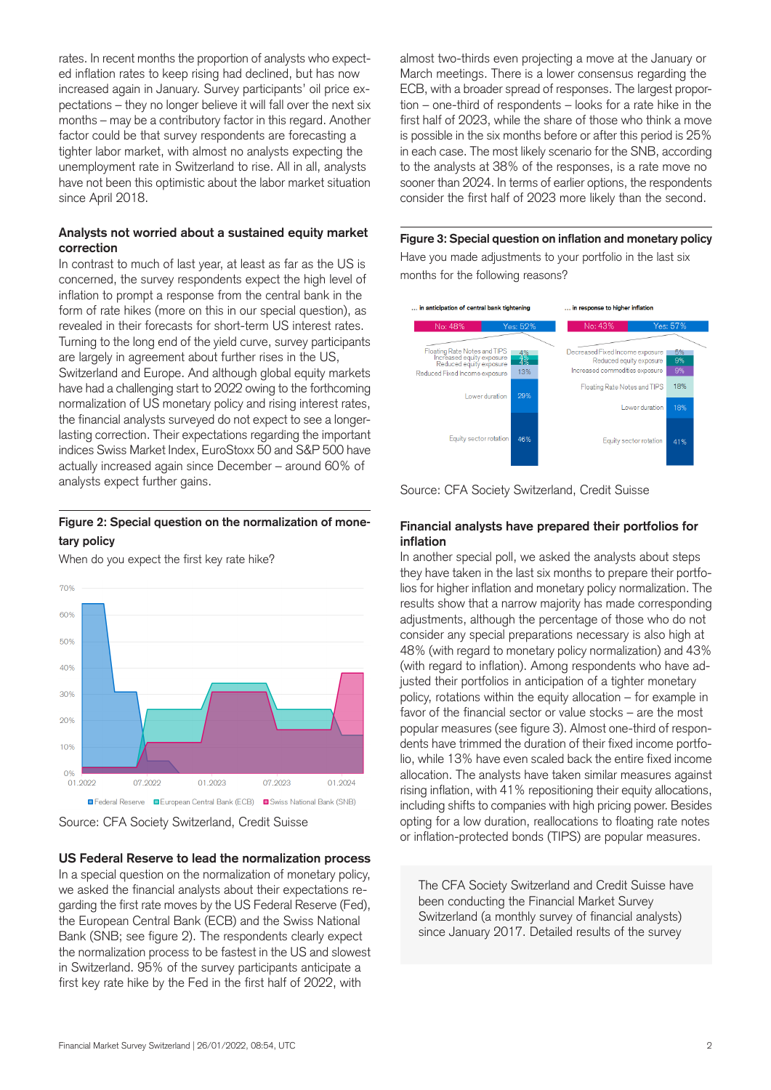rates. In recent months the proportion of analysts who expected inflation rates to keep rising had declined, but has now increased again in January. Survey participants' oil price expectations – they no longer believe it will fall over the next six months – may be a contributory factor in this regard. Another factor could be that survey respondents are forecasting a tighter labor market, with almost no analysts expecting the unemployment rate in Switzerland to rise. All in all, analysts have not been this optimistic about the labor market situation since April 2018.

## **Analysts not worried about a sustained equity market correction**

In contrast to much of last year, at least as far as the US is concerned, the survey respondents expect the high level of inflation to prompt a response from the central bank in the form of rate hikes (more on this in our special question), as revealed in their forecasts for short-term US interest rates. Turning to the long end of the yield curve, survey participants are largely in agreement about further rises in the US, Switzerland and Europe. And although global equity markets have had a challenging start to 2022 owing to the forthcoming normalization of US monetary policy and rising interest rates, the financial analysts surveyed do not expect to see a longerlasting correction. Their expectations regarding the important indices Swiss Market Index, EuroStoxx 50 and S&P 500 have actually increased again since December – around 60% of analysts expect further gains.

## **Figure 2: Special question on the normalization of monetary policy**

When do you expect the first key rate hike?





**US Federal Reserve to lead the normalization process** In a special question on the normalization of monetary policy, we asked the financial analysts about their expectations regarding the first rate moves by the US Federal Reserve (Fed), the European Central Bank (ECB) and the Swiss National Bank (SNB; see figure 2). The respondents clearly expect the normalization process to be fastest in the US and slowest in Switzerland. 95% of the survey participants anticipate a first key rate hike by the Fed in the first half of 2022, with

almost two-thirds even projecting a move at the January or March meetings. There is a lower consensus regarding the ECB, with a broader spread of responses. The largest proportion – one-third of respondents – looks for a rate hike in the first half of 2023, while the share of those who think a move is possible in the six months before or after this period is 25% in each case. The most likely scenario for the SNB, according to the analysts at 38% of the responses, is a rate move no sooner than 2024. In terms of earlier options, the respondents consider the first half of 2023 more likely than the second.

## **Figure 3: Special question on inflation and monetary policy**

Have you made adjustments to your portfolio in the last six months for the following reasons?



Source: CFA Society Switzerland, Credit Suisse

## **Financial analysts have prepared their portfolios for inflation**

In another special poll, we asked the analysts about steps they have taken in the last six months to prepare their portfolios for higher inflation and monetary policy normalization. The results show that a narrow majority has made corresponding adjustments, although the percentage of those who do not consider any special preparations necessary is also high at 48% (with regard to monetary policy normalization) and 43% (with regard to inflation). Among respondents who have adjusted their portfolios in anticipation of a tighter monetary policy, rotations within the equity allocation – for example in favor of the financial sector or value stocks – are the most popular measures (see figure 3). Almost one-third of respondents have trimmed the duration of their fixed income portfolio, while 13% have even scaled back the entire fixed income allocation. The analysts have taken similar measures against rising inflation, with 41% repositioning their equity allocations, including shifts to companies with high pricing power. Besides opting for a low duration, reallocations to floating rate notes or inflation-protected bonds (TIPS) are popular measures.

The CFA Society Switzerland and Credit Suisse have been conducting the Financial Market Survey Switzerland (a monthly survey of financial analysts) since January 2017. Detailed results of the survey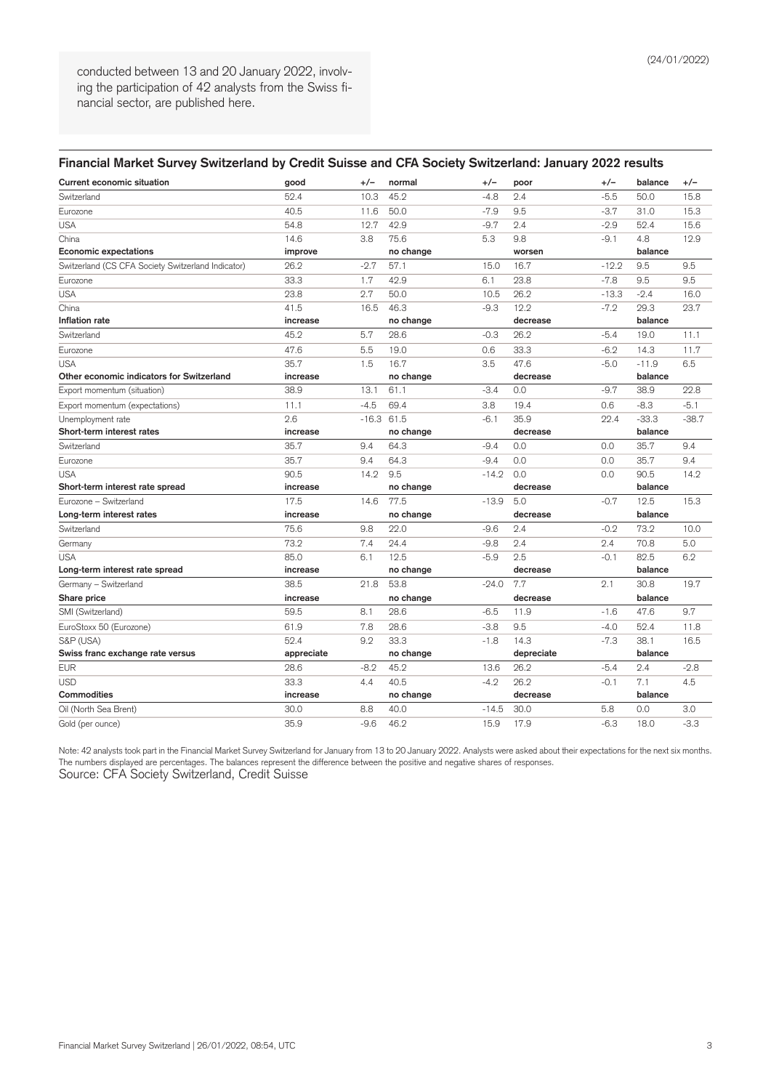conducted between 13 and 20 January 2022, involving the participation of 42 analysts from the Swiss financial sector, are published here.

| <b>Current economic situation</b>                  | good       | $+/-$   | normal    | +/-     | poor       | $+/-$   | balance | $+/-$   |
|----------------------------------------------------|------------|---------|-----------|---------|------------|---------|---------|---------|
| Switzerland                                        | 52.4       | 10.3    | 45.2      | $-4.8$  | 2.4        | $-5.5$  | 50.0    | 15.8    |
| Eurozone                                           | 40.5       | 11.6    | 50.0      | $-7.9$  | 9.5        | $-3.7$  | 31.0    | 15.3    |
| <b>USA</b>                                         | 54.8       | 12.7    | 42.9      | $-9.7$  | 2.4        | $-2.9$  | 52.4    | 15.6    |
| China                                              | 14.6       | 3.8     | 75.6      | 5.3     | 9.8        | $-9.1$  | 4.8     | 12.9    |
| <b>Economic expectations</b>                       | improve    |         | no change |         | worsen     |         | balance |         |
| Switzerland (CS CFA Society Switzerland Indicator) | 26.2       | $-2.7$  | 57.1      | 15.0    | 16.7       | $-12.2$ | 9.5     | 9.5     |
| Eurozone                                           | 33.3       | 1.7     | 42.9      | 6.1     | 23.8       | $-7.8$  | 9.5     | 9.5     |
| <b>USA</b>                                         | 23.8       | 2.7     | 50.0      | 10.5    | 26.2       | $-13.3$ | $-2.4$  | 16.0    |
| China                                              | 41.5       | 16.5    | 46.3      | $-9.3$  | 12.2       | $-7.2$  | 29.3    | 23.7    |
| Inflation rate                                     | increase   |         | no change |         | decrease   |         | balance |         |
| Switzerland                                        | 45.2       | 5.7     | 28.6      | $-0.3$  | 26.2       | $-5.4$  | 19.0    | 11.1    |
| Eurozone                                           | 47.6       | 5.5     | 19.0      | 0.6     | 33.3       | $-6.2$  | 14.3    | 11.7    |
| <b>USA</b>                                         | 35.7       | 1.5     | 16.7      | 3.5     | 47.6       | $-5.0$  | $-11.9$ | 6.5     |
| Other economic indicators for Switzerland          | increase   |         | no change |         | decrease   |         | balance |         |
| Export momentum (situation)                        | 38.9       | 13.1    | 61.1      | $-3.4$  | 0.0        | $-9.7$  | 38.9    | 22.8    |
| Export momentum (expectations)                     | 11.1       | $-4.5$  | 69.4      | 3.8     | 19.4       | 0.6     | $-8.3$  | $-5.1$  |
| Unemployment rate                                  | 2.6        | $-16.3$ | 61.5      | $-6.1$  | 35.9       | 22.4    | $-33.3$ | $-38.7$ |
| Short-term interest rates                          | increase   |         | no change |         | decrease   |         | balance |         |
| Switzerland                                        | 35.7       | 9.4     | 64.3      | $-9.4$  | 0.0        | 0.0     | 35.7    | 9.4     |
| Eurozone                                           | 35.7       | 9.4     | 64.3      | $-9.4$  | 0.0        | 0.0     | 35.7    | 9.4     |
| <b>USA</b>                                         | 90.5       | 14.2    | 9.5       | $-14.2$ | 0.0        | 0.0     | 90.5    | 14.2    |
| Short-term interest rate spread                    | increase   |         | no change |         | decrease   |         | balance |         |
| Eurozone - Switzerland                             | 17.5       | 14.6    | 77.5      | $-13.9$ | 5.0        | $-0.7$  | 12.5    | 15.3    |
| Long-term interest rates                           | increase   |         | no change |         | decrease   |         | balance |         |
| Switzerland                                        | 75.6       | 9.8     | 22.0      | $-9.6$  | 2.4        | $-0.2$  | 73.2    | 10.0    |
| Germany                                            | 73.2       | 7.4     | 24.4      | $-9.8$  | 2.4        | 2.4     | 70.8    | 5.0     |
| <b>USA</b>                                         | 85.0       | 6.1     | 12.5      | $-5.9$  | 2.5        | $-0.1$  | 82.5    | 6.2     |
| Long-term interest rate spread                     | increase   |         | no change |         | decrease   |         | balance |         |
| Germany - Switzerland                              | 38.5       | 21.8    | 53.8      | $-24.0$ | 7.7        | 2.1     | 30.8    | 19.7    |
| Share price                                        | increase   |         | no change |         | decrease   |         | balance |         |
| SMI (Switzerland)                                  | 59.5       | 8.1     | 28.6      | $-6.5$  | 11.9       | $-1.6$  | 47.6    | 9.7     |
| EuroStoxx 50 (Eurozone)                            | 61.9       | 7.8     | 28.6      | $-3.8$  | 9.5        | $-4.0$  | 52.4    | 11.8    |
| S&P (USA)                                          | 52.4       | 9.2     | 33.3      | $-1.8$  | 14.3       | $-7.3$  | 38.1    | 16.5    |
| Swiss franc exchange rate versus                   | appreciate |         | no change |         | depreciate |         | balance |         |
| <b>EUR</b>                                         | 28.6       | $-8.2$  | 45.2      | 13.6    | 26.2       | $-5.4$  | 2.4     | $-2.8$  |
| <b>USD</b>                                         | 33.3       | 4.4     | 40.5      | $-4.2$  | 26.2       | $-0.1$  | 7.1     | 4.5     |
| Commodities                                        | increase   |         | no change |         | decrease   |         | balance |         |
| Oil (North Sea Brent)                              | 30.0       | 8.8     | 40.0      | $-14.5$ | 30.0       | 5.8     | 0.0     | 3.0     |
| Gold (per ounce)                                   | 35.9       | $-9.6$  | 46.2      | 15.9    | 17.9       | $-6.3$  | 18.0    | $-3.3$  |

Note: 42 analysts took part in the Financial Market Survey Switzerland for January from 13 to 20 January 2022. Analysts were asked about their expectations for the next six months. The numbers displayed are percentages. The balances represent the difference between the positive and negative shares of responses. Source: CFA Society Switzerland, Credit Suisse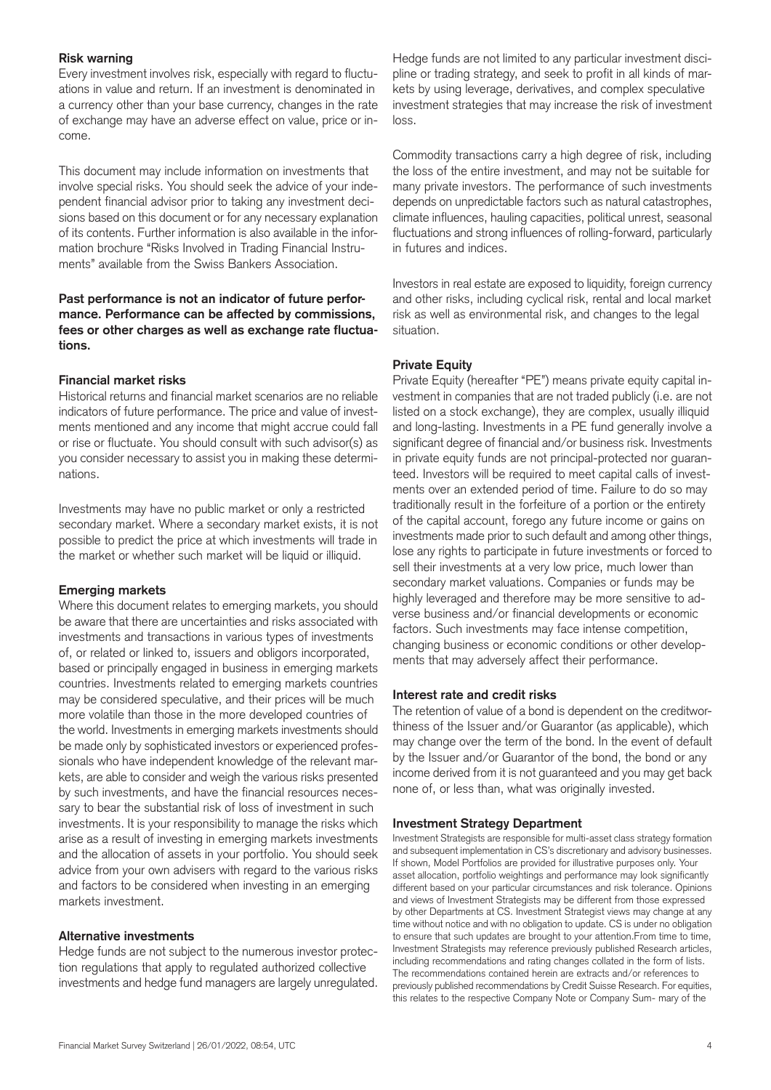### **Risk warning**

Every investment involves risk, especially with regard to fluctuations in value and return. If an investment is denominated in a currency other than your base currency, changes in the rate of exchange may have an adverse effect on value, price or income.

This document may include information on investments that involve special risks. You should seek the advice of your independent financial advisor prior to taking any investment decisions based on this document or for any necessary explanation of its contents. Further information is also available in the information brochure "Risks Involved in Trading Financial Instruments" available from the Swiss Bankers Association.

## **Past performance is not an indicator of future performance. Performance can be affected by commissions, fees or other charges as well as exchange rate fluctuations.**

## **Financial market risks**

Historical returns and financial market scenarios are no reliable indicators of future performance. The price and value of investments mentioned and any income that might accrue could fall or rise or fluctuate. You should consult with such advisor(s) as you consider necessary to assist you in making these determinations.

Investments may have no public market or only a restricted secondary market. Where a secondary market exists, it is not possible to predict the price at which investments will trade in the market or whether such market will be liquid or illiquid.

#### **Emerging markets**

Where this document relates to emerging markets, you should be aware that there are uncertainties and risks associated with investments and transactions in various types of investments of, or related or linked to, issuers and obligors incorporated, based or principally engaged in business in emerging markets countries. Investments related to emerging markets countries may be considered speculative, and their prices will be much more volatile than those in the more developed countries of the world. Investments in emerging markets investments should be made only by sophisticated investors or experienced professionals who have independent knowledge of the relevant markets, are able to consider and weigh the various risks presented by such investments, and have the financial resources necessary to bear the substantial risk of loss of investment in such investments. It is your responsibility to manage the risks which arise as a result of investing in emerging markets investments and the allocation of assets in your portfolio. You should seek advice from your own advisers with regard to the various risks and factors to be considered when investing in an emerging markets investment.

#### **Alternative investments**

Hedge funds are not subject to the numerous investor protection regulations that apply to regulated authorized collective investments and hedge fund managers are largely unregulated.

Hedge funds are not limited to any particular investment discipline or trading strategy, and seek to profit in all kinds of markets by using leverage, derivatives, and complex speculative investment strategies that may increase the risk of investment loss.

Commodity transactions carry a high degree of risk, including the loss of the entire investment, and may not be suitable for many private investors. The performance of such investments depends on unpredictable factors such as natural catastrophes, climate influences, hauling capacities, political unrest, seasonal fluctuations and strong influences of rolling-forward, particularly in futures and indices.

Investors in real estate are exposed to liquidity, foreign currency and other risks, including cyclical risk, rental and local market risk as well as environmental risk, and changes to the legal situation.

## **Private Equity**

Private Equity (hereafter "PE") means private equity capital investment in companies that are not traded publicly (i.e. are not listed on a stock exchange), they are complex, usually illiquid and long-lasting. Investments in a PE fund generally involve a significant degree of financial and/or business risk. Investments in private equity funds are not principal-protected nor guaranteed. Investors will be required to meet capital calls of investments over an extended period of time. Failure to do so may traditionally result in the forfeiture of a portion or the entirety of the capital account, forego any future income or gains on investments made prior to such default and among other things, lose any rights to participate in future investments or forced to sell their investments at a very low price, much lower than secondary market valuations. Companies or funds may be highly leveraged and therefore may be more sensitive to adverse business and/or financial developments or economic factors. Such investments may face intense competition, changing business or economic conditions or other developments that may adversely affect their performance.

#### **Interest rate and credit risks**

The retention of value of a bond is dependent on the creditworthiness of the Issuer and/or Guarantor (as applicable), which may change over the term of the bond. In the event of default by the Issuer and/or Guarantor of the bond, the bond or any income derived from it is not guaranteed and you may get back none of, or less than, what was originally invested.

#### **Investment Strategy Department**

Investment Strategists are responsible for multi-asset class strategy formation and subsequent implementation in CS's discretionary and advisory businesses. If shown, Model Portfolios are provided for illustrative purposes only. Your asset allocation, portfolio weightings and performance may look significantly different based on your particular circumstances and risk tolerance. Opinions and views of Investment Strategists may be different from those expressed by other Departments at CS. Investment Strategist views may change at any time without notice and with no obligation to update. CS is under no obligation to ensure that such updates are brought to your attention.From time to time, Investment Strategists may reference previously published Research articles, including recommendations and rating changes collated in the form of lists. The recommendations contained herein are extracts and/or references to previously published recommendations by Credit Suisse Research. For equities, this relates to the respective Company Note or Company Sum- mary of the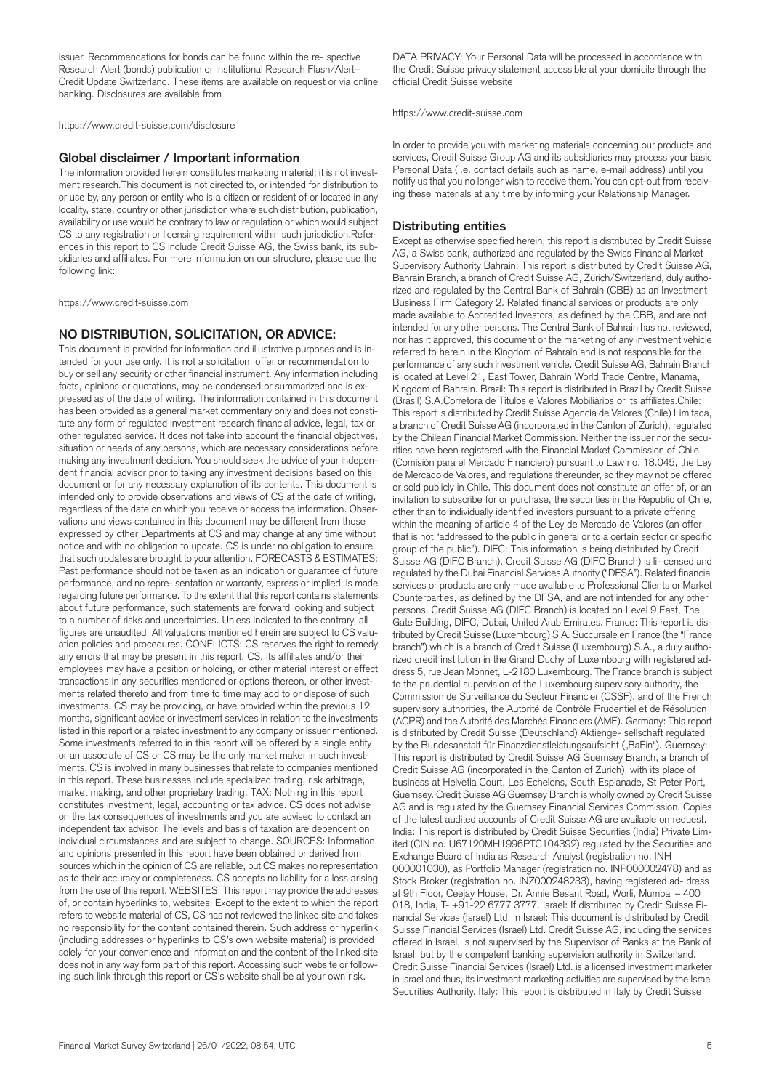issuer. Recommendations for bonds can be found within the re- spective Research Alert (bonds) publication or Institutional Research Flash/Alert– Credit Update Switzerland. These items are available on request or via online banking. Disclosures are available from

https://www.credit-suisse.com/disclosure

#### **Global disclaimer / Important information**

The information provided herein constitutes marketing material; it is not investment research.This document is not directed to, or intended for distribution to or use by, any person or entity who is a citizen or resident of or located in any locality, state, country or other jurisdiction where such distribution, publication, availability or use would be contrary to law or regulation or which would subject CS to any registration or licensing requirement within such jurisdiction.References in this report to CS include Credit Suisse AG, the Swiss bank, its subsidiaries and affiliates. For more information on our structure, please use the following link:

https://www.credit-suisse.com

#### **NO DISTRIBUTION, SOLICITATION, OR ADVICE:**

This document is provided for information and illustrative purposes and is intended for your use only. It is not a solicitation, offer or recommendation to buy or sell any security or other financial instrument. Any information including facts, opinions or quotations, may be condensed or summarized and is expressed as of the date of writing. The information contained in this document has been provided as a general market commentary only and does not constitute any form of regulated investment research financial advice, legal, tax or other regulated service. It does not take into account the financial objectives, situation or needs of any persons, which are necessary considerations before making any investment decision. You should seek the advice of your independent financial advisor prior to taking any investment decisions based on this document or for any necessary explanation of its contents. This document is intended only to provide observations and views of CS at the date of writing, regardless of the date on which you receive or access the information. Observations and views contained in this document may be different from those expressed by other Departments at CS and may change at any time without notice and with no obligation to update. CS is under no obligation to ensure that such updates are brought to your attention. FORECASTS & ESTIMATES: Past performance should not be taken as an indication or guarantee of future performance, and no repre- sentation or warranty, express or implied, is made regarding future performance. To the extent that this report contains statements about future performance, such statements are forward looking and subject to a number of risks and uncertainties. Unless indicated to the contrary, all figures are unaudited. All valuations mentioned herein are subject to CS valuation policies and procedures. CONFLICTS: CS reserves the right to remedy any errors that may be present in this report. CS, its affiliates and/or their employees may have a position or holding, or other material interest or effect transactions in any securities mentioned or options thereon, or other investments related thereto and from time to time may add to or dispose of such investments. CS may be providing, or have provided within the previous 12 months, significant advice or investment services in relation to the investments listed in this report or a related investment to any company or issuer mentioned. Some investments referred to in this report will be offered by a single entity or an associate of CS or CS may be the only market maker in such investments. CS is involved in many businesses that relate to companies mentioned in this report. These businesses include specialized trading, risk arbitrage, market making, and other proprietary trading. TAX: Nothing in this report constitutes investment, legal, accounting or tax advice. CS does not advise on the tax consequences of investments and you are advised to contact an independent tax advisor. The levels and basis of taxation are dependent on individual circumstances and are subject to change. SOURCES: Information and opinions presented in this report have been obtained or derived from sources which in the opinion of CS are reliable, but CS makes no representation as to their accuracy or completeness. CS accepts no liability for a loss arising from the use of this report. WEBSITES: This report may provide the addresses of, or contain hyperlinks to, websites. Except to the extent to which the report refers to website material of CS, CS has not reviewed the linked site and takes no responsibility for the content contained therein. Such address or hyperlink (including addresses or hyperlinks to CS's own website material) is provided solely for your convenience and information and the content of the linked site does not in any way form part of this report. Accessing such website or following such link through this report or CS's website shall be at your own risk.

DATA PRIVACY: Your Personal Data will be processed in accordance with the Credit Suisse privacy statement accessible at your domicile through the official Credit Suisse website

https://www.credit-suisse.com

In order to provide you with marketing materials concerning our products and services, Credit Suisse Group AG and its subsidiaries may process your basic Personal Data (i.e. contact details such as name, e-mail address) until you notify us that you no longer wish to receive them. You can opt-out from receiving these materials at any time by informing your Relationship Manager.

#### **Distributing entities**

Except as otherwise specified herein, this report is distributed by Credit Suisse AG, a Swiss bank, authorized and regulated by the Swiss Financial Market Supervisory Authority Bahrain: This report is distributed by Credit Suisse AG, Bahrain Branch, a branch of Credit Suisse AG, Zurich/Switzerland, duly authorized and regulated by the Central Bank of Bahrain (CBB) as an Investment Business Firm Category 2. Related financial services or products are only made available to Accredited Investors, as defined by the CBB, and are not intended for any other persons. The Central Bank of Bahrain has not reviewed, nor has it approved, this document or the marketing of any investment vehicle referred to herein in the Kingdom of Bahrain and is not responsible for the performance of any such investment vehicle. Credit Suisse AG, Bahrain Branch is located at Level 21, East Tower, Bahrain World Trade Centre, Manama, Kingdom of Bahrain. Brazil: This report is distributed in Brazil by Credit Suisse (Brasil) S.A.Corretora de Títulos e Valores Mobiliários or its affiliates.Chile: This report is distributed by Credit Suisse Agencia de Valores (Chile) Limitada, a branch of Credit Suisse AG (incorporated in the Canton of Zurich), regulated by the Chilean Financial Market Commission. Neither the issuer nor the securities have been registered with the Financial Market Commission of Chile (Comisión para el Mercado Financiero) pursuant to Law no. 18.045, the Ley de Mercado de Valores, and regulations thereunder, so they may not be offered or sold publicly in Chile. This document does not constitute an offer of, or an invitation to subscribe for or purchase, the securities in the Republic of Chile, other than to individually identified investors pursuant to a private offering within the meaning of article 4 of the Ley de Mercado de Valores (an offer that is not "addressed to the public in general or to a certain sector or specific group of the public"). DIFC: This information is being distributed by Credit Suisse AG (DIFC Branch). Credit Suisse AG (DIFC Branch) is li- censed and regulated by the Dubai Financial Services Authority ("DFSA"). Related financial services or products are only made available to Professional Clients or Market Counterparties, as defined by the DFSA, and are not intended for any other persons. Credit Suisse AG (DIFC Branch) is located on Level 9 East, The Gate Building, DIFC, Dubai, United Arab Emirates. France: This report is distributed by Credit Suisse (Luxembourg) S.A. Succursale en France (the "France branch") which is a branch of Credit Suisse (Luxembourg) S.A., a duly authorized credit institution in the Grand Duchy of Luxembourg with registered address 5, rue Jean Monnet, L-2180 Luxembourg. The France branch is subject to the prudential supervision of the Luxembourg supervisory authority, the Commission de Surveillance du Secteur Financier (CSSF), and of the French supervisory authorities, the Autorité de Contrôle Prudentiel et de Résolution (ACPR) and the Autorité des Marchés Financiers (AMF). Germany: This report is distributed by Credit Suisse (Deutschland) Aktienge- sellschaft regulated by the Bundesanstalt für Finanzdienstleistungsaufsicht ("BaFin"). Guernsey: This report is distributed by Credit Suisse AG Guernsey Branch, a branch of Credit Suisse AG (incorporated in the Canton of Zurich), with its place of business at Helvetia Court, Les Echelons, South Esplanade, St Peter Port, Guernsey. Credit Suisse AG Guernsey Branch is wholly owned by Credit Suisse AG and is regulated by the Guernsey Financial Services Commission. Copies of the latest audited accounts of Credit Suisse AG are available on request. India: This report is distributed by Credit Suisse Securities (India) Private Limited (CIN no. U67120MH1996PTC104392) regulated by the Securities and Exchange Board of India as Research Analyst (registration no. INH 000001030), as Portfolio Manager (registration no. INP000002478) and as Stock Broker (registration no. INZ000248233), having registered ad- dress at 9th Floor, Ceejay House, Dr. Annie Besant Road, Worli, Mumbai – 400 018, India, T- +91-22 6777 3777. Israel: If distributed by Credit Suisse Financial Services (Israel) Ltd. in Israel: This document is distributed by Credit Suisse Financial Services (Israel) Ltd. Credit Suisse AG, including the services offered in Israel, is not supervised by the Supervisor of Banks at the Bank of Israel, but by the competent banking supervision authority in Switzerland. Credit Suisse Financial Services (Israel) Ltd. is a licensed investment marketer in Israel and thus, its investment marketing activities are supervised by the Israel Securities Authority. Italy: This report is distributed in Italy by Credit Suisse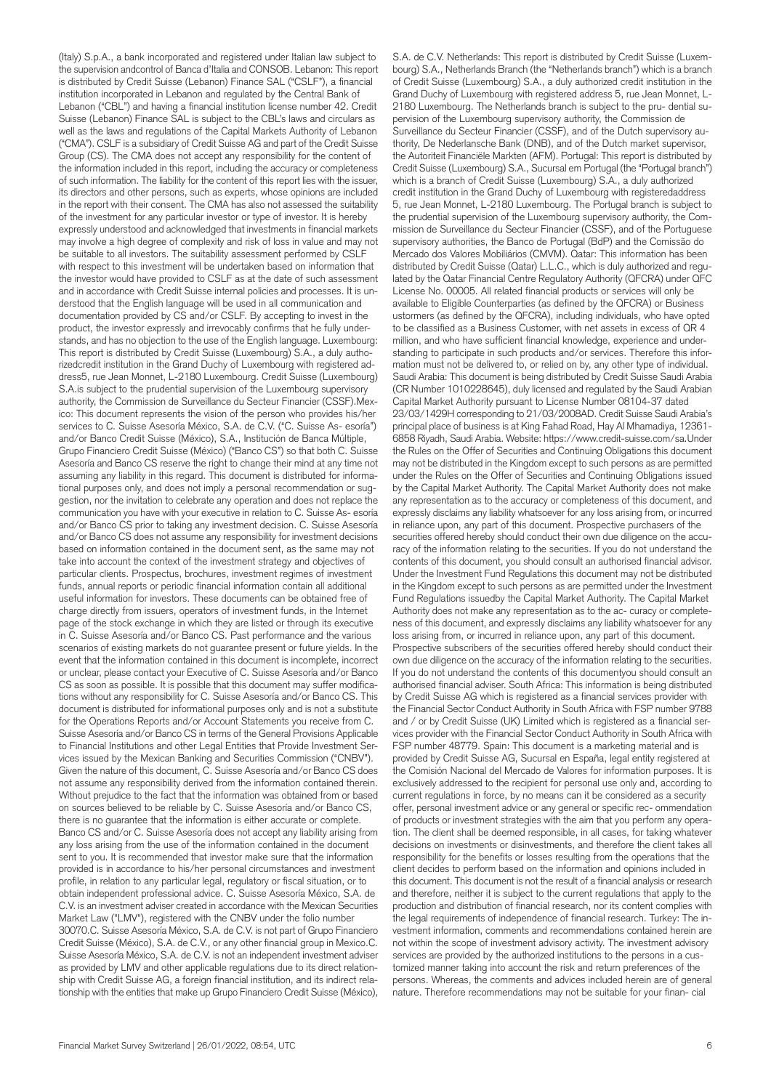(Italy) S.p.A., a bank incorporated and registered under Italian law subject to the supervision andcontrol of Banca d'Italia and CONSOB. Lebanon: This report is distributed by Credit Suisse (Lebanon) Finance SAL ("CSLF"), a financial institution incorporated in Lebanon and regulated by the Central Bank of Lebanon ("CBL") and having a financial institution license number 42. Credit Suisse (Lebanon) Finance SAL is subject to the CBL's laws and circulars as well as the laws and regulations of the Capital Markets Authority of Lebanon ("CMA"). CSLF is a subsidiary of Credit Suisse AG and part of the Credit Suisse Group (CS). The CMA does not accept any responsibility for the content of the information included in this report, including the accuracy or completeness of such information. The liability for the content of this report lies with the issuer, its directors and other persons, such as experts, whose opinions are included in the report with their consent. The CMA has also not assessed the suitability of the investment for any particular investor or type of investor. It is hereby expressly understood and acknowledged that investments in financial markets may involve a high degree of complexity and risk of loss in value and may not be suitable to all investors. The suitability assessment performed by CSLF with respect to this investment will be undertaken based on information that the investor would have provided to CSLF as at the date of such assessment and in accordance with Credit Suisse internal policies and processes. It is understood that the English language will be used in all communication and documentation provided by CS and/or CSLF. By accepting to invest in the product, the investor expressly and irrevocably confirms that he fully understands, and has no objection to the use of the English language. Luxembourg: This report is distributed by Credit Suisse (Luxembourg) S.A., a duly authorizedcredit institution in the Grand Duchy of Luxembourg with registered address5, rue Jean Monnet, L-2180 Luxembourg. Credit Suisse (Luxembourg) S.A.is subject to the prudential supervision of the Luxembourg supervisory authority, the Commission de Surveillance du Secteur Financier (CSSF).Mexico: This document represents the vision of the person who provides his/her services to C. Suisse Asesoría México, S.A. de C.V. ("C. Suisse As- esoría") and/or Banco Credit Suisse (México), S.A., Institución de Banca Múltiple, Grupo Financiero Credit Suisse (México) ("Banco CS") so that both C. Suisse Asesoría and Banco CS reserve the right to change their mind at any time not assuming any liability in this regard. This document is distributed for informational purposes only, and does not imply a personal recommendation or suggestion, nor the invitation to celebrate any operation and does not replace the communication you have with your executive in relation to C. Suisse As- esoría and/or Banco CS prior to taking any investment decision. C. Suisse Asesoría and/or Banco CS does not assume any responsibility for investment decisions based on information contained in the document sent, as the same may not take into account the context of the investment strategy and objectives of particular clients. Prospectus, brochures, investment regimes of investment funds, annual reports or periodic financial information contain all additional useful information for investors. These documents can be obtained free of charge directly from issuers, operators of investment funds, in the Internet page of the stock exchange in which they are listed or through its executive in C. Suisse Asesoría and/or Banco CS. Past performance and the various scenarios of existing markets do not guarantee present or future yields. In the event that the information contained in this document is incomplete, incorrect or unclear, please contact your Executive of C. Suisse Asesoría and/or Banco CS as soon as possible. It is possible that this document may suffer modifications without any responsibility for C. Suisse Asesoría and/or Banco CS. This document is distributed for informational purposes only and is not a substitute for the Operations Reports and/or Account Statements you receive from C. Suisse Asesoría and/or Banco CS in terms of the General Provisions Applicable to Financial Institutions and other Legal Entities that Provide Investment Services issued by the Mexican Banking and Securities Commission ("CNBV"). Given the nature of this document, C. Suisse Asesoría and/or Banco CS does not assume any responsibility derived from the information contained therein. Without prejudice to the fact that the information was obtained from or based on sources believed to be reliable by C. Suisse Asesoría and/or Banco CS, there is no guarantee that the information is either accurate or complete. Banco CS and/or C. Suisse Asesoría does not accept any liability arising from any loss arising from the use of the information contained in the document sent to you. It is recommended that investor make sure that the information provided is in accordance to his/her personal circumstances and investment profile, in relation to any particular legal, regulatory or fiscal situation, or to obtain independent professional advice. C. Suisse Asesoría México, S.A. de C.V. is an investment adviser created in accordance with the Mexican Securities Market Law ("LMV"), registered with the CNBV under the folio number 30070.C. Suisse Asesoría México, S.A. de C.V. is not part of Grupo Financiero Credit Suisse (México), S.A. de C.V., or any other financial group in Mexico.C. Suisse Asesoría México, S.A. de C.V. is not an independent investment adviser as provided by LMV and other applicable regulations due to its direct relationship with Credit Suisse AG, a foreign financial institution, and its indirect relationship with the entities that make up Grupo Financiero Credit Suisse (México),

S.A. de C.V. Netherlands: This report is distributed by Credit Suisse (Luxembourg) S.A., Netherlands Branch (the "Netherlands branch") which is a branch of Credit Suisse (Luxembourg) S.A., a duly authorized credit institution in the Grand Duchy of Luxembourg with registered address 5, rue Jean Monnet, L-2180 Luxembourg. The Netherlands branch is subject to the pru- dential supervision of the Luxembourg supervisory authority, the Commission de Surveillance du Secteur Financier (CSSF), and of the Dutch supervisory authority, De Nederlansche Bank (DNB), and of the Dutch market supervisor, the Autoriteit Financiële Markten (AFM). Portugal: This report is distributed by Credit Suisse (Luxembourg) S.A., Sucursal em Portugal (the "Portugal branch") which is a branch of Credit Suisse (Luxembourg) S.A., a duly authorized credit institution in the Grand Duchy of Luxembourg with registeredaddress 5, rue Jean Monnet, L-2180 Luxembourg. The Portugal branch is subject to the prudential supervision of the Luxembourg supervisory authority, the Commission de Surveillance du Secteur Financier (CSSF), and of the Portuguese supervisory authorities, the Banco de Portugal (BdP) and the Comissão do Mercado dos Valores Mobiliários (CMVM). Qatar: This information has been distributed by Credit Suisse (Qatar) L.L.C., which is duly authorized and regulated by the Qatar Financial Centre Regulatory Authority (QFCRA) under QFC License No. 00005. All related financial products or services will only be available to Eligible Counterparties (as defined by the QFCRA) or Business ustormers (as defined by the QFCRA), including individuals, who have opted to be classified as a Business Customer, with net assets in excess of QR 4 million, and who have sufficient financial knowledge, experience and understanding to participate in such products and/or services. Therefore this information must not be delivered to, or relied on by, any other type of individual. Saudi Arabia: This document is being distributed by Credit Suisse Saudi Arabia (CR Number 1010228645), duly licensed and regulated by the Saudi Arabian Capital Market Authority pursuant to License Number 08104-37 dated 23/03/1429H corresponding to 21/03/2008AD. Credit Suisse Saudi Arabia's principal place of business is at King Fahad Road, Hay Al Mhamadiya, 12361- 6858 Riyadh, Saudi Arabia. Website: https://www.credit-suisse.com/sa.Under the Rules on the Offer of Securities and Continuing Obligations this document may not be distributed in the Kingdom except to such persons as are permitted under the Rules on the Offer of Securities and Continuing Obligations issued by the Capital Market Authority. The Capital Market Authority does not make any representation as to the accuracy or completeness of this document, and expressly disclaims any liability whatsoever for any loss arising from, or incurred in reliance upon, any part of this document. Prospective purchasers of the securities offered hereby should conduct their own due diligence on the accuracy of the information relating to the securities. If you do not understand the contents of this document, you should consult an authorised financial advisor. Under the Investment Fund Regulations this document may not be distributed in the Kingdom except to such persons as are permitted under the Investment Fund Regulations issuedby the Capital Market Authority. The Capital Market Authority does not make any representation as to the ac- curacy or completeness of this document, and expressly disclaims any liability whatsoever for any loss arising from, or incurred in reliance upon, any part of this document. Prospective subscribers of the securities offered hereby should conduct their own due diligence on the accuracy of the information relating to the securities. If you do not understand the contents of this documentyou should consult an authorised financial adviser. South Africa: This information is being distributed by Credit Suisse AG which is registered as a financial services provider with the Financial Sector Conduct Authority in South Africa with FSP number 9788 and / or by Credit Suisse (UK) Limited which is registered as a financial services provider with the Financial Sector Conduct Authority in South Africa with FSP number 48779. Spain: This document is a marketing material and is provided by Credit Suisse AG, Sucursal en España, legal entity registered at the Comisión Nacional del Mercado de Valores for information purposes. It is exclusively addressed to the recipient for personal use only and, according to current regulations in force, by no means can it be considered as a security offer, personal investment advice or any general or specific rec- ommendation of products or investment strategies with the aim that you perform any operation. The client shall be deemed responsible, in all cases, for taking whatever decisions on investments or disinvestments, and therefore the client takes all responsibility for the benefits or losses resulting from the operations that the client decides to perform based on the information and opinions included in this document. This document is not the result of a financial analysis or research and therefore, neither it is subject to the current regulations that apply to the production and distribution of financial research, nor its content complies with the legal requirements of independence of financial research. Turkey: The investment information, comments and recommendations contained herein are not within the scope of investment advisory activity. The investment advisory services are provided by the authorized institutions to the persons in a customized manner taking into account the risk and return preferences of the persons. Whereas, the comments and advices included herein are of general nature. Therefore recommendations may not be suitable for your finan- cial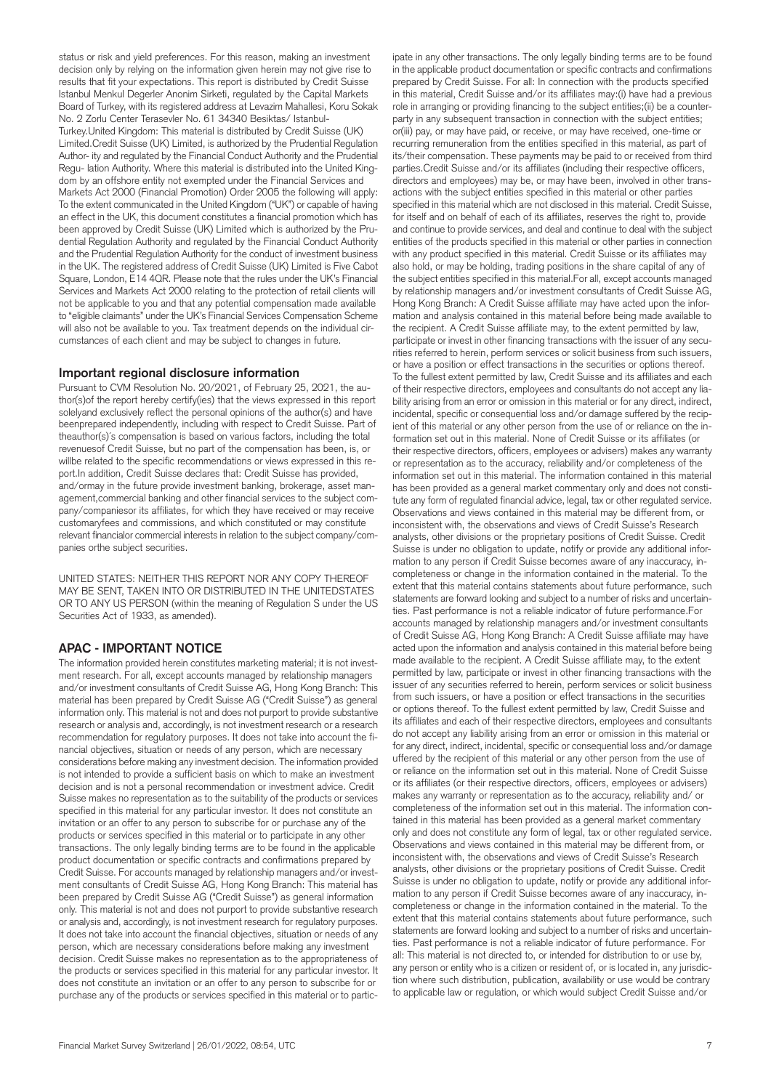status or risk and yield preferences. For this reason, making an investment decision only by relying on the information given herein may not give rise to results that fit your expectations. This report is distributed by Credit Suisse Istanbul Menkul Degerler Anonim Sirketi, regulated by the Capital Markets Board of Turkey, with its registered address at Levazim Mahallesi, Koru Sokak No. 2 Zorlu Center Terasevler No. 61 34340 Besiktas/ Istanbul-Turkey.United Kingdom: This material is distributed by Credit Suisse (UK) Limited.Credit Suisse (UK) Limited, is authorized by the Prudential Regulation Author- ity and regulated by the Financial Conduct Authority and the Prudential Regu- lation Authority. Where this material is distributed into the United Kingdom by an offshore entity not exempted under the Financial Services and Markets Act 2000 (Financial Promotion) Order 2005 the following will apply: To the extent communicated in the United Kingdom ("UK") or capable of having an effect in the UK, this document constitutes a financial promotion which has been approved by Credit Suisse (UK) Limited which is authorized by the Prudential Regulation Authority and regulated by the Financial Conduct Authority and the Prudential Regulation Authority for the conduct of investment business in the UK. The registered address of Credit Suisse (UK) Limited is Five Cabot Square, London, E14 4QR. Please note that the rules under the UK's Financial Services and Markets Act 2000 relating to the protection of retail clients will not be applicable to you and that any potential compensation made available to "eligible claimants" under the UK's Financial Services Compensation Scheme will also not be available to you. Tax treatment depends on the individual circumstances of each client and may be subject to changes in future.

#### **Important regional disclosure information**

Pursuant to CVM Resolution No. 20/2021, of February 25, 2021, the author(s)of the report hereby certify(ies) that the views expressed in this report solelyand exclusively reflect the personal opinions of the author(s) and have beenprepared independently, including with respect to Credit Suisse. Part of theauthor(s)´s compensation is based on various factors, including the total revenuesof Credit Suisse, but no part of the compensation has been, is, or willbe related to the specific recommendations or views expressed in this report.In addition, Credit Suisse declares that: Credit Suisse has provided, and/ormay in the future provide investment banking, brokerage, asset management,commercial banking and other financial services to the subject company/companiesor its affiliates, for which they have received or may receive customaryfees and commissions, and which constituted or may constitute relevant financialor commercial interests in relation to the subject company/companies orthe subject securities.

UNITED STATES: NEITHER THIS REPORT NOR ANY COPY THEREOF MAY BE SENT, TAKEN INTO OR DISTRIBUTED IN THE UNITEDSTATES OR TO ANY US PERSON (within the meaning of Regulation S under the US Securities Act of 1933, as amended).

#### **APAC - IMPORTANT NOTICE**

The information provided herein constitutes marketing material; it is not investment research. For all, except accounts managed by relationship managers and/or investment consultants of Credit Suisse AG, Hong Kong Branch: This material has been prepared by Credit Suisse AG ("Credit Suisse") as general information only. This material is not and does not purport to provide substantive research or analysis and, accordingly, is not investment research or a research recommendation for regulatory purposes. It does not take into account the financial objectives, situation or needs of any person, which are necessary considerations before making any investment decision. The information provided is not intended to provide a sufficient basis on which to make an investment decision and is not a personal recommendation or investment advice. Credit Suisse makes no representation as to the suitability of the products or services specified in this material for any particular investor. It does not constitute an invitation or an offer to any person to subscribe for or purchase any of the products or services specified in this material or to participate in any other transactions. The only legally binding terms are to be found in the applicable product documentation or specific contracts and confirmations prepared by Credit Suisse. For accounts managed by relationship managers and/or investment consultants of Credit Suisse AG, Hong Kong Branch: This material has been prepared by Credit Suisse AG ("Credit Suisse") as general information only. This material is not and does not purport to provide substantive research or analysis and, accordingly, is not investment research for regulatory purposes. It does not take into account the financial objectives, situation or needs of any person, which are necessary considerations before making any investment decision. Credit Suisse makes no representation as to the appropriateness of the products or services specified in this material for any particular investor. It does not constitute an invitation or an offer to any person to subscribe for or purchase any of the products or services specified in this material or to partic-

ipate in any other transactions. The only legally binding terms are to be found in the applicable product documentation or specific contracts and confirmations prepared by Credit Suisse. For all: In connection with the products specified in this material, Credit Suisse and/or its affiliates may:(i) have had a previous role in arranging or providing financing to the subject entities;(ii) be a counterparty in any subsequent transaction in connection with the subject entities; or(iii) pay, or may have paid, or receive, or may have received, one-time or recurring remuneration from the entities specified in this material, as part of its/their compensation. These payments may be paid to or received from third parties.Credit Suisse and/or its affiliates (including their respective officers, directors and employees) may be, or may have been, involved in other transactions with the subject entities specified in this material or other parties specified in this material which are not disclosed in this material. Credit Suisse, for itself and on behalf of each of its affiliates, reserves the right to, provide and continue to provide services, and deal and continue to deal with the subject entities of the products specified in this material or other parties in connection with any product specified in this material. Credit Suisse or its affiliates may also hold, or may be holding, trading positions in the share capital of any of the subject entities specified in this material.For all, except accounts managed by relationship managers and/or investment consultants of Credit Suisse AG, Hong Kong Branch: A Credit Suisse affiliate may have acted upon the information and analysis contained in this material before being made available to the recipient. A Credit Suisse affiliate may, to the extent permitted by law, participate or invest in other financing transactions with the issuer of any securities referred to herein, perform services or solicit business from such issuers, or have a position or effect transactions in the securities or options thereof. To the fullest extent permitted by law, Credit Suisse and its affiliates and each of their respective directors, employees and consultants do not accept any liability arising from an error or omission in this material or for any direct, indirect, incidental, specific or consequential loss and/or damage suffered by the recipient of this material or any other person from the use of or reliance on the information set out in this material. None of Credit Suisse or its affiliates (or their respective directors, officers, employees or advisers) makes any warranty or representation as to the accuracy, reliability and/or completeness of the information set out in this material. The information contained in this material has been provided as a general market commentary only and does not constitute any form of regulated financial advice, legal, tax or other regulated service. Observations and views contained in this material may be different from, or inconsistent with, the observations and views of Credit Suisse's Research analysts, other divisions or the proprietary positions of Credit Suisse. Credit Suisse is under no obligation to update, notify or provide any additional information to any person if Credit Suisse becomes aware of any inaccuracy, incompleteness or change in the information contained in the material. To the extent that this material contains statements about future performance, such statements are forward looking and subject to a number of risks and uncertainties. Past performance is not a reliable indicator of future performance.For accounts managed by relationship managers and/or investment consultants of Credit Suisse AG, Hong Kong Branch: A Credit Suisse affiliate may have acted upon the information and analysis contained in this material before being made available to the recipient. A Credit Suisse affiliate may, to the extent permitted by law, participate or invest in other financing transactions with the issuer of any securities referred to herein, perform services or solicit business from such issuers, or have a position or effect transactions in the securities or options thereof. To the fullest extent permitted by law, Credit Suisse and its affiliates and each of their respective directors, employees and consultants do not accept any liability arising from an error or omission in this material or for any direct, indirect, incidental, specific or consequential loss and/or damage uffered by the recipient of this material or any other person from the use of or reliance on the information set out in this material. None of Credit Suisse or its affiliates (or their respective directors, officers, employees or advisers) makes any warranty or representation as to the accuracy, reliability and/ or completeness of the information set out in this material. The information contained in this material has been provided as a general market commentary only and does not constitute any form of legal, tax or other regulated service. Observations and views contained in this material may be different from, or inconsistent with, the observations and views of Credit Suisse's Research analysts, other divisions or the proprietary positions of Credit Suisse. Credit Suisse is under no obligation to update, notify or provide any additional information to any person if Credit Suisse becomes aware of any inaccuracy, incompleteness or change in the information contained in the material. To the extent that this material contains statements about future performance, such statements are forward looking and subject to a number of risks and uncertainties. Past performance is not a reliable indicator of future performance. For all: This material is not directed to, or intended for distribution to or use by, any person or entity who is a citizen or resident of, or is located in, any jurisdiction where such distribution, publication, availability or use would be contrary to applicable law or regulation, or which would subject Credit Suisse and/or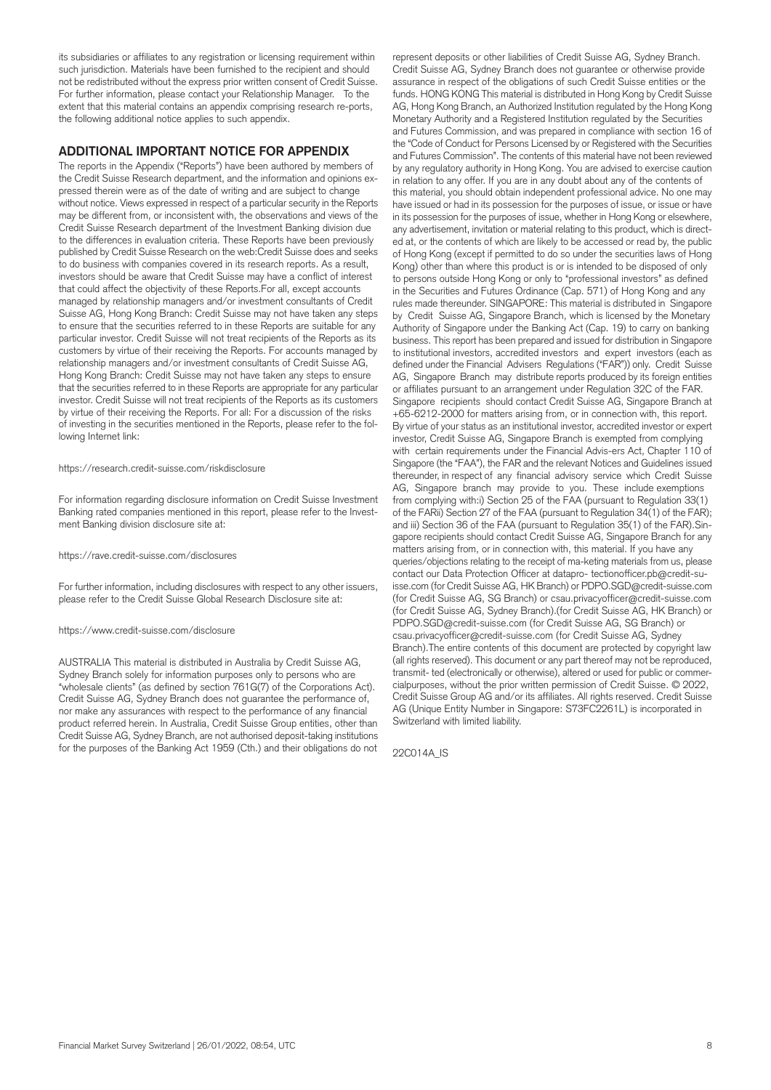its subsidiaries or affiliates to any registration or licensing requirement within such jurisdiction. Materials have been furnished to the recipient and should not be redistributed without the express prior written consent of Credit Suisse. For further information, please contact your Relationship Manager. To the extent that this material contains an appendix comprising research re-ports, the following additional notice applies to such appendix.

#### **ADDITIONAL IMPORTANT NOTICE FOR APPENDIX**

The reports in the Appendix ("Reports") have been authored by members of the Credit Suisse Research department, and the information and opinions expressed therein were as of the date of writing and are subject to change without notice. Views expressed in respect of a particular security in the Reports may be different from, or inconsistent with, the observations and views of the Credit Suisse Research department of the Investment Banking division due to the differences in evaluation criteria. These Reports have been previously published by Credit Suisse Research on the web:Credit Suisse does and seeks to do business with companies covered in its research reports. As a result, investors should be aware that Credit Suisse may have a conflict of interest that could affect the objectivity of these Reports.For all, except accounts managed by relationship managers and/or investment consultants of Credit Suisse AG, Hong Kong Branch: Credit Suisse may not have taken any steps to ensure that the securities referred to in these Reports are suitable for any particular investor. Credit Suisse will not treat recipients of the Reports as its customers by virtue of their receiving the Reports. For accounts managed by relationship managers and/or investment consultants of Credit Suisse AG, Hong Kong Branch: Credit Suisse may not have taken any steps to ensure that the securities referred to in these Reports are appropriate for any particular investor. Credit Suisse will not treat recipients of the Reports as its customers by virtue of their receiving the Reports. For all: For a discussion of the risks of investing in the securities mentioned in the Reports, please refer to the following Internet link:

#### https://research.credit-suisse.com/riskdisclosure

For information regarding disclosure information on Credit Suisse Investment Banking rated companies mentioned in this report, please refer to the Investment Banking division disclosure site at:

#### https://rave.credit-suisse.com/disclosures

For further information, including disclosures with respect to any other issuers, please refer to the Credit Suisse Global Research Disclosure site at:

#### https://www.credit-suisse.com/disclosure

AUSTRALIA This material is distributed in Australia by Credit Suisse AG, Sydney Branch solely for information purposes only to persons who are "wholesale clients" (as defined by section 761G(7) of the Corporations Act). Credit Suisse AG, Sydney Branch does not guarantee the performance of, nor make any assurances with respect to the performance of any financial product referred herein. In Australia, Credit Suisse Group entities, other than Credit Suisse AG, Sydney Branch, are not authorised deposit-taking institutions for the purposes of the Banking Act 1959 (Cth.) and their obligations do not

represent deposits or other liabilities of Credit Suisse AG, Sydney Branch. Credit Suisse AG, Sydney Branch does not guarantee or otherwise provide assurance in respect of the obligations of such Credit Suisse entities or the funds. HONG KONG This material is distributed in Hong Kong by Credit Suisse AG, Hong Kong Branch, an Authorized Institution regulated by the Hong Kong Monetary Authority and a Registered Institution regulated by the Securities and Futures Commission, and was prepared in compliance with section 16 of the "Code of Conduct for Persons Licensed by or Registered with the Securities and Futures Commission". The contents of this material have not been reviewed by any regulatory authority in Hong Kong. You are advised to exercise caution in relation to any offer. If you are in any doubt about any of the contents of this material, you should obtain independent professional advice. No one may have issued or had in its possession for the purposes of issue, or issue or have in its possession for the purposes of issue, whether in Hong Kong or elsewhere, any advertisement, invitation or material relating to this product, which is directed at, or the contents of which are likely to be accessed or read by, the public of Hong Kong (except if permitted to do so under the securities laws of Hong Kong) other than where this product is or is intended to be disposed of only to persons outside Hong Kong or only to "professional investors" as defined in the Securities and Futures Ordinance (Cap. 571) of Hong Kong and any rules made thereunder. SINGAPORE: This material is distributed in Singapore by Credit Suisse AG, Singapore Branch, which is licensed by the Monetary Authority of Singapore under the Banking Act (Cap. 19) to carry on banking business. This report has been prepared and issued for distribution in Singapore to institutional investors, accredited investors and expert investors (each as defined under the Financial Advisers Regulations ("FAR")) only. Credit Suisse AG, Singapore Branch may distribute reports produced by its foreign entities or affiliates pursuant to an arrangement under Regulation 32C of the FAR. Singapore recipients should contact Credit Suisse AG, Singapore Branch at +65-6212-2000 for matters arising from, or in connection with, this report. By virtue of your status as an institutional investor, accredited investor or expert investor, Credit Suisse AG, Singapore Branch is exempted from complying with certain requirements under the Financial Advis-ers Act, Chapter 110 of Singapore (the "FAA"), the FAR and the relevant Notices and Guidelines issued thereunder, in respect of any financial advisory service which Credit Suisse AG, Singapore branch may provide to you. These include exemptions from complying with:i) Section 25 of the FAA (pursuant to Regulation 33(1) of the FARii) Section 27 of the FAA (pursuant to Regulation 34(1) of the FAR); and iii) Section 36 of the FAA (pursuant to Regulation 35(1) of the FAR).Singapore recipients should contact Credit Suisse AG, Singapore Branch for any matters arising from, or in connection with, this material. If you have any queries/objections relating to the receipt of ma-keting materials from us, please contact our Data Protection Officer at datapro- tectionofficer.pb@credit-suisse.com (for Credit Suisse AG, HK Branch) or PDPO.SGD@credit-suisse.com (for Credit Suisse AG, SG Branch) or csau.privacyofficer@credit-suisse.com (for Credit Suisse AG, Sydney Branch).(for Credit Suisse AG, HK Branch) or PDPO.SGD@credit-suisse.com (for Credit Suisse AG, SG Branch) or csau.privacyofficer@credit-suisse.com (for Credit Suisse AG, Sydney Branch).The entire contents of this document are protected by copyright law (all rights reserved). This document or any part thereof may not be reproduced, transmit- ted (electronically or otherwise), altered or used for public or commercialpurposes, without the prior written permission of Credit Suisse. © 2022, Credit Suisse Group AG and/or its affiliates. All rights reserved. Credit Suisse AG (Unique Entity Number in Singapore: S73FC2261L) is incorporated in Switzerland with limited liability.

22C014A\_IS